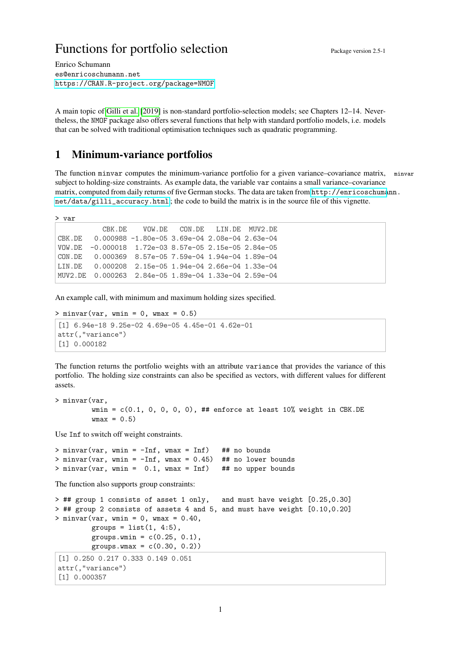# Functions for portfolio selection Package version 2.5-1

Enrico Schumann es@enricoschumann.net <https://CRAN.R-project.org/package=NMOF>

A main topic of [Gilli et al.](#page-3-0) [\[2019\]](#page-3-0) is non-standard portfolio-selection models; see Chapters 12–14. Nevertheless, the NMOF package also offers several functions that help with standard portfolio models, i.e. models that can be solved with traditional optimisation techniques such as quadratic programming.

# 1 Minimum-variance portfolios

The function minvar computes the minimum-variance portfolio for a given variance–covariance matrix, minvar subject to holding-size constraints. As example data, the variable var contains a small variance–covariance matrix, computed from daily returns of five German stocks. The data are taken from [http://enricoschuma](http://enricoschumann.net/data/gilli_accuracy.html)nn. [net/data/gilli\\_accuracy.html](http://enricoschumann.net/data/gilli_accuracy.html) ; the code to build the matrix is in the source file of this vignette.

> var

|                                                           | CBK.DE VOW.DE CON.DE LIN.DE MUV2.DE |  |  |
|-----------------------------------------------------------|-------------------------------------|--|--|
| CBK.DE $0.000988 -1.80e-053.69e-042.08e-042.63e-04$       |                                     |  |  |
| VOW.DE -0.000018 1.72e-03 8.57e-05 2.15e-05 2.84e-05      |                                     |  |  |
| $CDN.DE$ 0.000369 8.57e-05 7.59e-04 1.94e-04 1.89e-04     |                                     |  |  |
| LIN.DE  0.000208  2.15e-05  1.94e-04  2.66e-04  1.33e-04  |                                     |  |  |
| MUV2.DE  0.000263  2.84e-05  1.89e-04  1.33e-04  2.59e-04 |                                     |  |  |

An example call, with minimum and maximum holding sizes specified.

```
> minvar(var, wmin = 0, wmax = 0.5)
```

```
[1] 6.94e-18 9.25e-02 4.69e-05 4.45e-01 4.62e-01
attr(,"variance")
[1] 0.000182
```
The function returns the portfolio weights with an attribute variance that provides the variance of this portfolio. The holding size constraints can also be specified as vectors, with different values for different assets.

```
> minvar(var,
         wmin = c(0.1, 0, 0, 0, 0), ## enforce at least 10% weight in CBK.DE
         wmax = 0.5
```
Use Inf to switch off weight constraints.

 $>$  minvar(var, wmin =  $-Inf$ , wmax = Inf) ## no bounds  $>$  minvar(var, wmin =  $-Inf$ , wmax = 0.45) ## no lower bounds  $>$  minvar(var, wmin = 0.1, wmax = Inf) ## no upper bounds

The function also supports group constraints:

```
> ## group 1 consists of asset 1 only, and must have weight [0.25,0.30]
> ## group 2 consists of assets 4 and 5, and must have weight [0.10,0.20]
> minvar(var, wmin = 0, wmax = 0.40,
         groups = list(1, 4:5),
         groups.wmin = c(0.25, 0.1),
         groups.wmax = c(0.30, 0.2)[1] 0.250 0.217 0.333 0.149 0.051
attr(,"variance")
 [1] 0.000357
```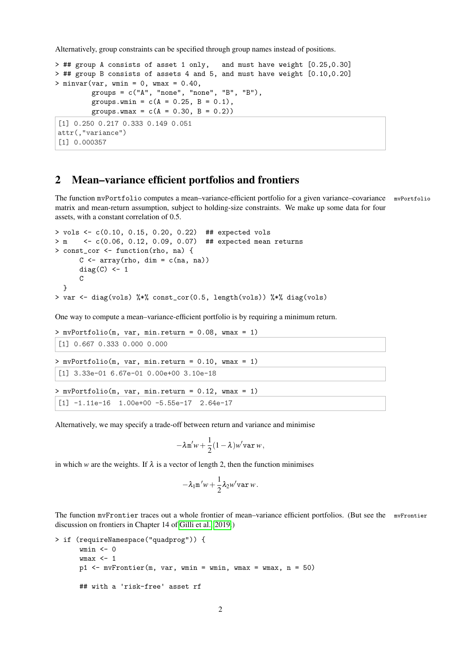Alternatively, group constraints can be specified through group names instead of positions.

```
> ## group A consists of asset 1 only, and must have weight [0.25,0.30]
> ## group B consists of assets 4 and 5, and must have weight [0.10,0.20]
> minvar(var, wmin = 0, wmax = 0.40,
        groups = c("A", "none", "none", "B", "B"),
         groups.wmin = c(A = 0.25, B = 0.1),
         groups.wmax = c(A = 0.30, B = 0.2)[1] 0.250 0.217 0.333 0.149 0.051
attr(,"variance")
[1] 0.000357
```
### 2 Mean–variance efficient portfolios and frontiers

The function mvPortfolio computes a mean–variance-efficient portfolio for a given variance–covariance mvPortfolio matrix and mean-return assumption, subject to holding-size constraints. We make up some data for four assets, with a constant correlation of 0.5.

```
> vols <- c(0.10, 0.15, 0.20, 0.22) ## expected vols
> m <- c(0.06, 0.12, 0.09, 0.07) ## expected mean returns
> const_cor <- function(rho, na) {
       C \leftarrow \text{array}(\text{rho}, \text{dim} = c(\text{na}, \text{na}))diag(C) <- 1
       \mathcal{C}}
> var <- diag(vols) %*% const_cor(0.5, length(vols)) %*% diag(vols)
```
One way to compute a mean–variance-efficient portfolio is by requiring a minimum return.

```
> mvPortfolio(m, var, min.return = 0.08, wmax = 1)
[1] 0.667 0.333 0.000 0.000
> mvPortfolio(m, var, min.return = 0.10, wmax = 1)
[1] 3.33e-01 6.67e-01 0.00e+00 3.10e-18
> mvPortfolio(m, var, min.return = 0.12, wmax = 1)
[1] -1.11e-16 1.00e+00 -5.55e-17 2.64e-17
```
Alternatively, we may specify a trade-off between return and variance and minimise

$$
-\lambda \mathbf{m}'w + \frac{1}{2}(1-\lambda)w'\mathbf{var}\,w,
$$

in which *w* are the weights. If  $\lambda$  is a vector of length 2, then the function minimises

$$
-\lambda_1 \mathbf{m}' w + \frac{1}{2} \lambda_2 w' \mathbf{var} w.
$$

The function mvFrontier traces out a whole frontier of mean–variance efficient portfolios. (But see the mvFrontier discussion on frontiers in Chapter 14 of [Gilli et al., 2019.](#page-3-0))

```
> if (requireNamespace("quadprog")) {
      wmin <- 0
      wmax <- 1
      p1 \leq -m\nuFrontier(m, var, wmin = wmin, wmax = wmax, n = 50)
      ## with a 'risk-free' asset rf
```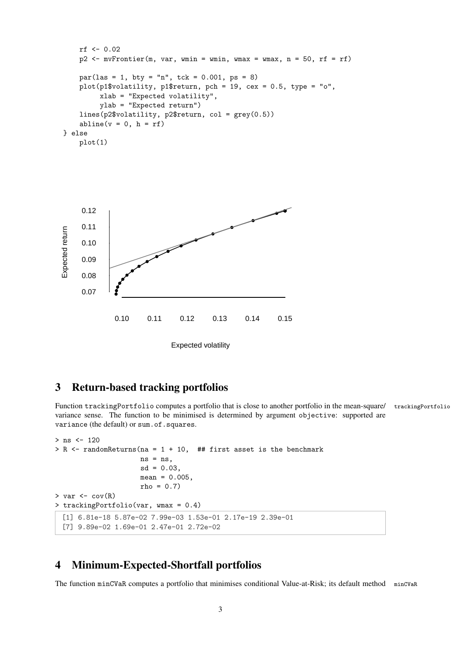```
rf <- 0.02
   p2 \leq -mvFrontier(m, var, wmin = wmin, wmax = wmax, n = 50, rf = rf)
   par(las = 1, bty = "n", tck = 0.001, ps = 8)plot(p1$volatility, p1$return, pch = 19, cex = 0.5, type = "o",
        xlab = "Expected volatility",
        ylab = "Expected return")
   lines(p2$volatility, p2$return, col = grey(0.5))
   abline(v = 0, h = rf)} else
   plot(1)
```


Expected volatility

# 3 Return-based tracking portfolios

Function trackingPortfolio computes a portfolio that is close to another portfolio in the mean-square/ trackingPortfolio variance sense. The function to be minimised is determined by argument objective: supported are variance (the default) or sum.of.squares.

```
> ns <- 120
> R <- randomReturns(na = 1 + 10, ## first asset is the benchmark
                     ns = ns,
                     sd = 0.03,
                     mean = 0.005,
                     rho = 0.7)
> var \leq cov(R)> trackingPortfolio(var, wmax = 0.4)
  [1] 6.81e-18 5.87e-02 7.99e-03 1.53e-01 2.17e-19 2.39e-01
  [7] 9.89e-02 1.69e-01 2.47e-01 2.72e-02
```
#### 4 Minimum-Expected-Shortfall portfolios

The function minCVaR computes a portfolio that minimises conditional Value-at-Risk; its default method minCVaR